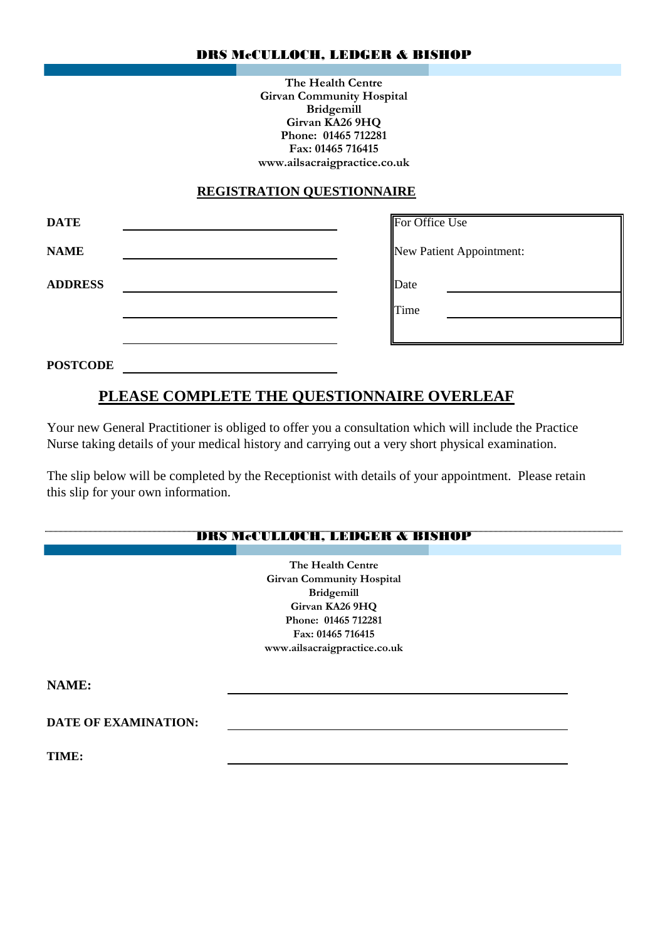### DRS McCULLOCH, LEDGER & BISHOP

**The Health Centre Girvan Community Hospital Bridgemill Girvan KA26 9HQ Phone: 01465 712281 Fax: 01465 716415 www.ailsacraigpractice.co.uk**

### **REGISTRATION QUESTIONNAIRE**

| <b>DATE</b>    | For Office Use           |
|----------------|--------------------------|
| <b>NAME</b>    | New Patient Appointment: |
| <b>ADDRESS</b> | Date                     |
|                | Time                     |
|                |                          |

**POSTCODE**

# **PLEASE COMPLETE THE QUESTIONNAIRE OVERLEAF**

Your new General Practitioner is obliged to offer you a consultation which will include the Practice Nurse taking details of your medical history and carrying out a very short physical examination.

The slip below will be completed by the Receptionist with details of your appointment. Please retain this slip for your own information.

# DRS McCULLOCH, LEDGER & BISHOP

**Girvan Community Hospital Bridgemill Girvan KA26 9HQ Phone: 01465 712281 Fax: 01465 716415 www.ailsacraigpractice.co.uk The Health Centre**

**NAME:**

**DATE OF EXAMINATION:**

**TIME:**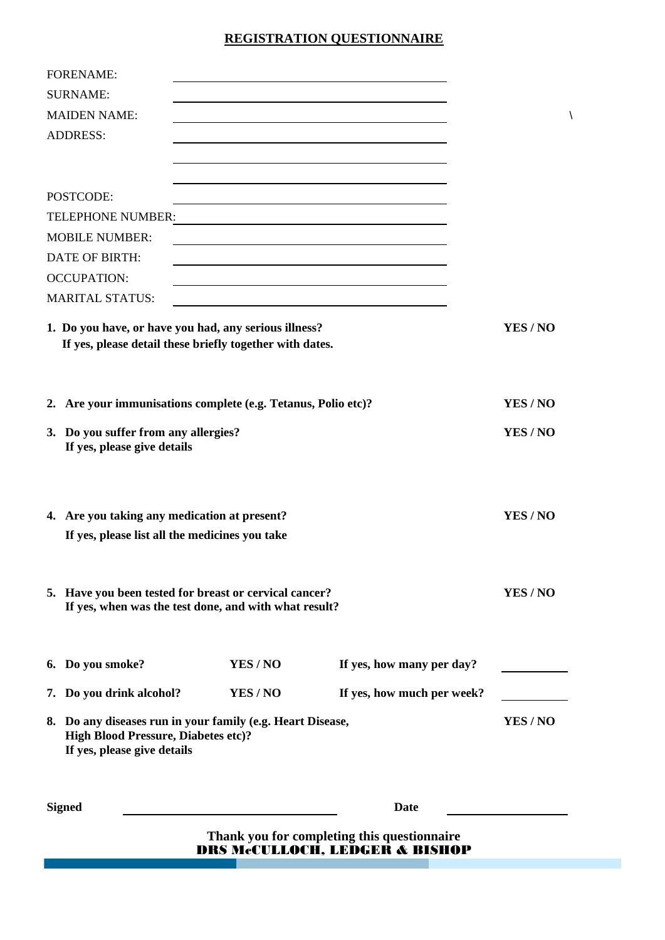### **REGISTRATION QUESTIONNAIRE**

|                 | <b>FORENAME:</b>                                              |        |                                                                                          |        |
|-----------------|---------------------------------------------------------------|--------|------------------------------------------------------------------------------------------|--------|
|                 | <b>SURNAME:</b>                                               |        |                                                                                          |        |
|                 | <b>MAIDEN NAME:</b>                                           |        |                                                                                          |        |
| <b>ADDRESS:</b> |                                                               |        |                                                                                          |        |
|                 |                                                               |        |                                                                                          |        |
|                 |                                                               |        |                                                                                          |        |
|                 | POSTCODE:                                                     |        |                                                                                          |        |
|                 | TELEPHONE NUMBER:                                             |        | <u> 1989 - Johann Barbara, martxa alemaniar a</u>                                        |        |
|                 | <b>MOBILE NUMBER:</b>                                         |        |                                                                                          |        |
|                 | <b>DATE OF BIRTH:</b>                                         |        |                                                                                          |        |
|                 | <b>OCCUPATION:</b>                                            |        |                                                                                          |        |
|                 | <b>MARITAL STATUS:</b>                                        |        |                                                                                          |        |
|                 | 1. Do you have, or have you had, any serious illness?         |        |                                                                                          | YES/NO |
|                 | If yes, please detail these briefly together with dates.      |        |                                                                                          |        |
|                 |                                                               |        |                                                                                          |        |
|                 | 2. Are your immunisations complete (e.g. Tetanus, Polio etc)? |        |                                                                                          | YES/NO |
|                 |                                                               |        |                                                                                          |        |
|                 | 3. Do you suffer from any allergies?                          |        |                                                                                          | YES/NO |
|                 | If yes, please give details                                   |        |                                                                                          |        |
|                 |                                                               |        |                                                                                          |        |
|                 |                                                               |        |                                                                                          |        |
|                 | 4. Are you taking any medication at present?                  |        |                                                                                          | YES/NO |
|                 | If yes, please list all the medicines you take                |        |                                                                                          |        |
|                 |                                                               |        |                                                                                          |        |
|                 | 5. Have you been tested for breast or cervical cancer?        |        |                                                                                          | YES/NO |
|                 | If yes, when was the test done, and with what result?         |        |                                                                                          |        |
|                 |                                                               |        |                                                                                          |        |
|                 |                                                               |        |                                                                                          |        |
|                 | 6. Do you smoke?                                              | YES/NO | If yes, how many per day?                                                                |        |
|                 | 7. Do you drink alcohol?                                      | YES/NO | If yes, how much per week?                                                               |        |
|                 | 8. Do any diseases run in your family (e.g. Heart Disease,    | YES/NO |                                                                                          |        |
|                 | <b>High Blood Pressure, Diabetes etc)?</b>                    |        |                                                                                          |        |
|                 | If yes, please give details                                   |        |                                                                                          |        |
|                 |                                                               |        |                                                                                          |        |
|                 | <b>Signed</b>                                                 |        | Date                                                                                     |        |
|                 |                                                               |        |                                                                                          |        |
|                 |                                                               |        | Thank you for completing this questionnaire<br><b>DRS McCULLOCH, LEDGER &amp; BISHOP</b> |        |
|                 |                                                               |        |                                                                                          |        |